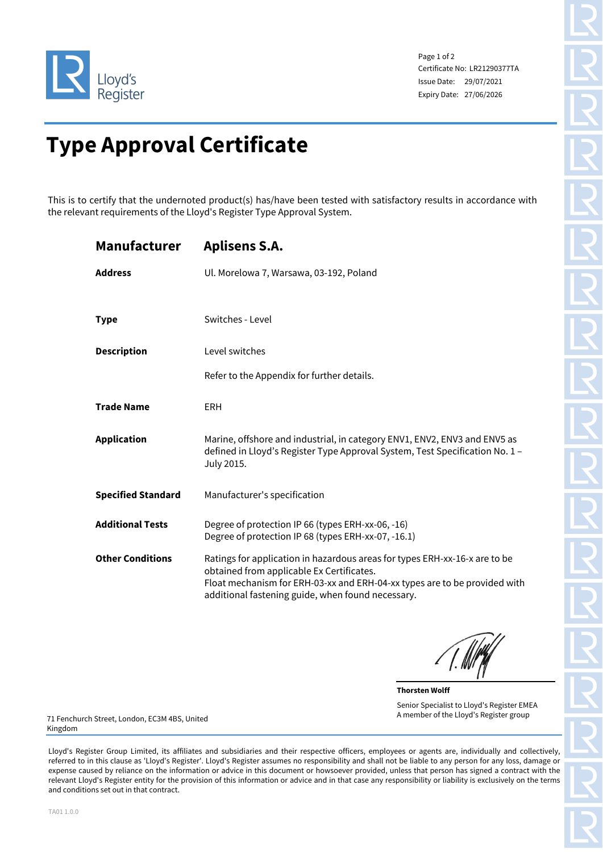

Page 1 of 2 Certificate No: LR21290377TA Issue Date: 29/07/2021 Expiry Date: 27/06/2026

## **Type Approval Certificate**

This is to certify that the undernoted product(s) has/have been tested with satisfactory results in accordance with the relevant requirements of the Lloyd's Register Type Approval System.

| <b>Manufacturer</b>       | <b>Aplisens S.A.</b>                                                                                                                                                                                                                                      |
|---------------------------|-----------------------------------------------------------------------------------------------------------------------------------------------------------------------------------------------------------------------------------------------------------|
| <b>Address</b>            | Ul. Morelowa 7, Warsawa, 03-192, Poland                                                                                                                                                                                                                   |
| <b>Type</b>               | Switches - Level                                                                                                                                                                                                                                          |
| <b>Description</b>        | Level switches                                                                                                                                                                                                                                            |
|                           | Refer to the Appendix for further details.                                                                                                                                                                                                                |
| <b>Trade Name</b>         | <b>ERH</b>                                                                                                                                                                                                                                                |
| <b>Application</b>        | Marine, offshore and industrial, in category ENV1, ENV2, ENV3 and ENV5 as<br>defined in Lloyd's Register Type Approval System, Test Specification No. 1 -<br>July 2015.                                                                                   |
| <b>Specified Standard</b> | Manufacturer's specification                                                                                                                                                                                                                              |
| <b>Additional Tests</b>   | Degree of protection IP 66 (types ERH-xx-06, -16)<br>Degree of protection IP 68 (types ERH-xx-07, -16.1)                                                                                                                                                  |
| <b>Other Conditions</b>   | Ratings for application in hazardous areas for types ERH-xx-16-x are to be<br>obtained from applicable Ex Certificates.<br>Float mechanism for ERH-03-xx and ERH-04-xx types are to be provided with<br>additional fastening guide, when found necessary. |

**Thorsten Wolff** Senior Specialist to Lloyd's Register EMEA A member of the Lloyd's Register group

71 Fenchurch Street, London, EC3M 4BS, United Kingdom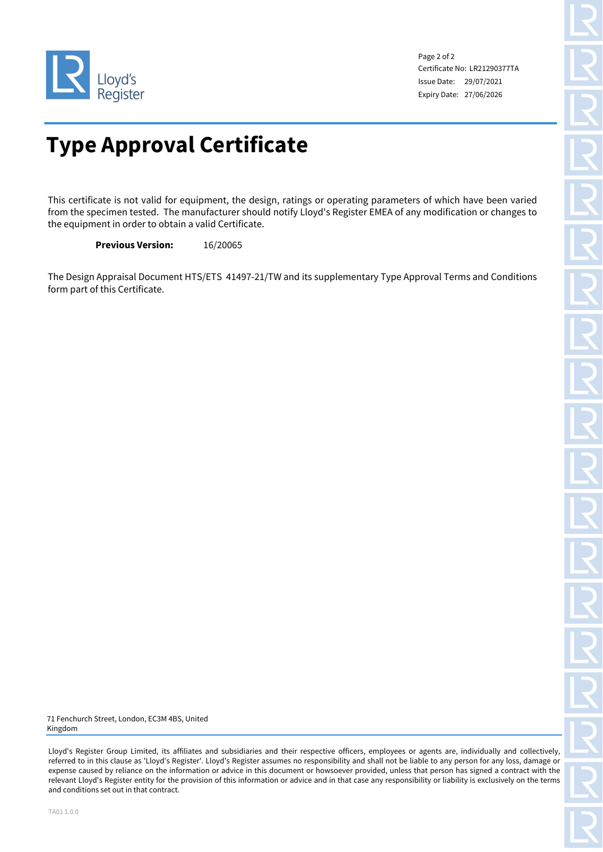

Page 2 of 2 Certificate No: LR21290377TA Issue Date: 29/07/2021 Expiry Date: 27/06/2026

## **Type Approval Certificate**

This certificate is not valid for equipment, the design, ratings or operating parameters of which have been varied from the specimen tested. The manufacturer should notify Lloyd's Register EMEA of any modification or changes to the equipment in order to obtain a valid Certificate.

**Previous Version:** 16/20065

The Design Appraisal Document HTS/ETS 41497-21/TW and its supplementary Type Approval Terms and Conditions form part of this Certificate.

71 Fenchurch Street, London, EC3M 4BS, United Kingdom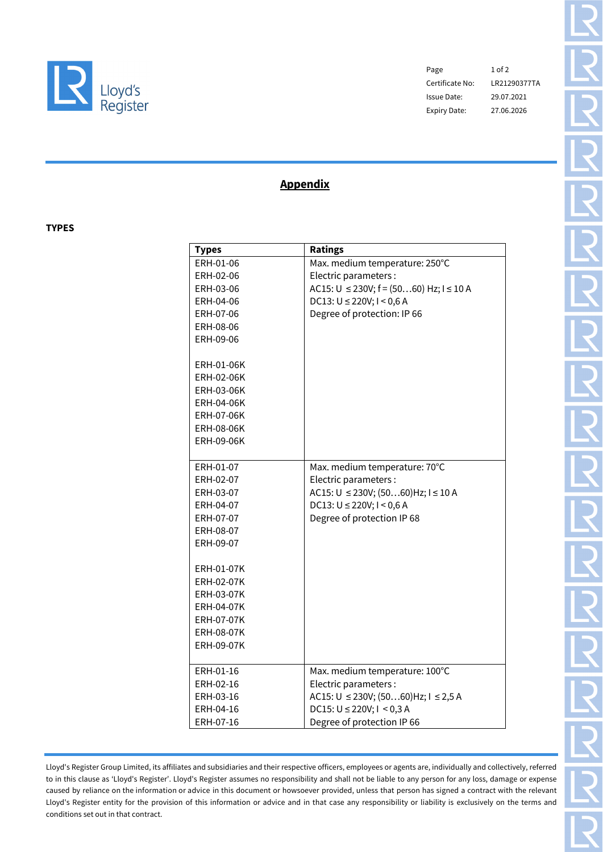

Page 1 of 2 Certificate No: LR21290377TA Issue Date: 29.07.2021 Expiry Date: 27.06.2026

## **Appendix**

**TYPES**

| <b>Types</b>      | <b>Ratings</b>                                        |
|-------------------|-------------------------------------------------------|
| ERH-01-06         | Max. medium temperature: 250°C                        |
| ERH-02-06         | Electric parameters:                                  |
| ERH-03-06         | $AC15$ : $U \le 230V$ ; $f = (5060)$ Hz; $I \le 10$ A |
| ERH-04-06         | $DC13: U \le 220V; I \le 0,6 A$                       |
| ERH-07-06         | Degree of protection: IP 66                           |
| ERH-08-06         |                                                       |
| ERH-09-06         |                                                       |
|                   |                                                       |
| ERH-01-06K        |                                                       |
| <b>ERH-02-06K</b> |                                                       |
| ERH-03-06K        |                                                       |
| <b>ERH-04-06K</b> |                                                       |
| <b>ERH-07-06K</b> |                                                       |
| <b>ERH-08-06K</b> |                                                       |
| ERH-09-06K        |                                                       |
|                   |                                                       |
| ERH-01-07         | Max. medium temperature: 70°C                         |
| ERH-02-07         | Electric parameters :                                 |
| ERH-03-07         | AC15: $U \le 230V$ ; (5060) Hz; $I \le 10$ A          |
| ERH-04-07         | $DC13: U \le 220V; I \le 0,6 A$                       |
| ERH-07-07         | Degree of protection IP 68                            |
| ERH-08-07         |                                                       |
| ERH-09-07         |                                                       |
|                   |                                                       |
| ERH-01-07K        |                                                       |
| <b>ERH-02-07K</b> |                                                       |
| <b>ERH-03-07K</b> |                                                       |
| <b>ERH-04-07K</b> |                                                       |
| ERH-07-07K        |                                                       |
| <b>ERH-08-07K</b> |                                                       |
| <b>ERH-09-07K</b> |                                                       |
|                   |                                                       |
| ERH-01-16         | Max. medium temperature: 100°C                        |
| ERH-02-16         | Electric parameters:                                  |
| ERH-03-16         | $AC15$ : U $\leq$ 230V; (5060)Hz; I $\leq$ 2,5 A      |
| ERH-04-16         | $DC15: U \le 220V; I \le 0,3 A$                       |
| ERH-07-16         | Degree of protection IP 66                            |
|                   |                                                       |